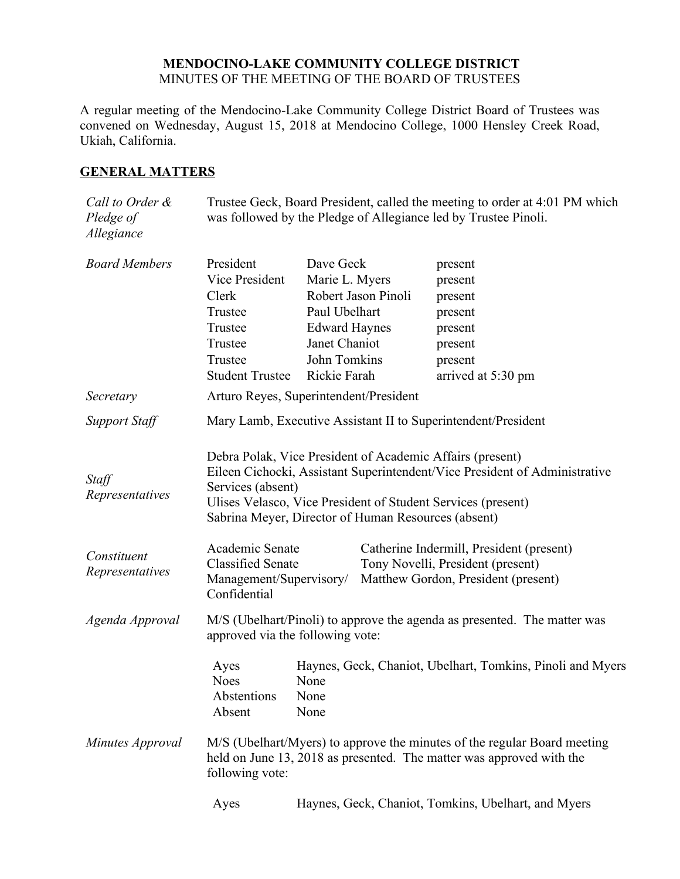## **MENDOCINO-LAKE COMMUNITY COLLEGE DISTRICT** MINUTES OF THE MEETING OF THE BOARD OF TRUSTEES

A regular meeting of the Mendocino-Lake Community College District Board of Trustees was convened on Wednesday, August 15, 2018 at Mendocino College, 1000 Hensley Creek Road, Ukiah, California.

# **GENERAL MATTERS**

| Call to Order &<br>Pledge of<br>Allegiance | Trustee Geck, Board President, called the meeting to order at 4:01 PM which<br>was followed by the Pledge of Allegiance led by Trustee Pinoli.                                                                                                                                      |                                                                                                                       |                     |                                                                                                                      |
|--------------------------------------------|-------------------------------------------------------------------------------------------------------------------------------------------------------------------------------------------------------------------------------------------------------------------------------------|-----------------------------------------------------------------------------------------------------------------------|---------------------|----------------------------------------------------------------------------------------------------------------------|
| <b>Board Members</b>                       | President<br>Vice President<br>Clerk<br>Trustee<br>Trustee<br>Trustee<br>Trustee<br><b>Student Trustee</b>                                                                                                                                                                          | Dave Geck<br>Marie L. Myers<br>Paul Ubelhart<br><b>Edward Haynes</b><br>Janet Chaniot<br>John Tomkins<br>Rickie Farah | Robert Jason Pinoli | present<br>present<br>present<br>present<br>present<br>present<br>present<br>arrived at 5:30 pm                      |
| Secretary                                  | Arturo Reyes, Superintendent/President                                                                                                                                                                                                                                              |                                                                                                                       |                     |                                                                                                                      |
| <b>Support Staff</b>                       | Mary Lamb, Executive Assistant II to Superintendent/President                                                                                                                                                                                                                       |                                                                                                                       |                     |                                                                                                                      |
| Staff<br>Representatives                   | Debra Polak, Vice President of Academic Affairs (present)<br>Eileen Cichocki, Assistant Superintendent/Vice President of Administrative<br>Services (absent)<br>Ulises Velasco, Vice President of Student Services (present)<br>Sabrina Meyer, Director of Human Resources (absent) |                                                                                                                       |                     |                                                                                                                      |
| Constituent<br>Representatives             | Academic Senate<br><b>Classified Senate</b><br>Management/Supervisory/<br>Confidential                                                                                                                                                                                              |                                                                                                                       |                     | Catherine Indermill, President (present)<br>Tony Novelli, President (present)<br>Matthew Gordon, President (present) |
| Agenda Approval                            | M/S (Ubelhart/Pinoli) to approve the agenda as presented. The matter was<br>approved via the following vote:                                                                                                                                                                        |                                                                                                                       |                     |                                                                                                                      |
|                                            | Ayes<br><b>Noes</b><br>Abstentions<br>Absent                                                                                                                                                                                                                                        | None<br>None<br>None                                                                                                  |                     | Haynes, Geck, Chaniot, Ubelhart, Tomkins, Pinoli and Myers                                                           |
| Minutes Approval                           | M/S (Ubelhart/Myers) to approve the minutes of the regular Board meeting<br>held on June 13, 2018 as presented. The matter was approved with the<br>following vote:                                                                                                                 |                                                                                                                       |                     |                                                                                                                      |
|                                            | Ayes                                                                                                                                                                                                                                                                                |                                                                                                                       |                     | Haynes, Geck, Chaniot, Tomkins, Ubelhart, and Myers                                                                  |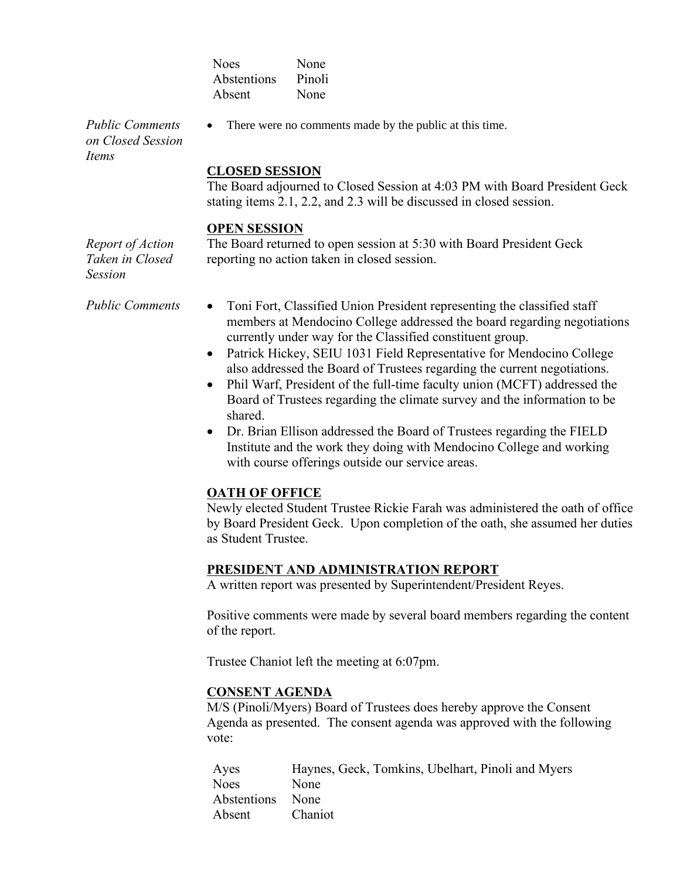| None   |
|--------|
| Pinoli |
| None   |
|        |

*Public Comments on Closed Session Items*

• There were no comments made by the public at this time.

#### **CLOSED SESSION**

The Board adjourned to Closed Session at 4:03 PM with Board President Geck stating items 2.1, 2.2, and 2.3 will be discussed in closed session.

#### **OPEN SESSION**

*Report of Action Taken in Closed Session*

The Board returned to open session at 5:30 with Board President Geck reporting no action taken in closed session.

- *Public Comments* Toni Fort, Classified Union President representing the classified staff members at Mendocino College addressed the board regarding negotiations currently under way for the Classified constituent group.
	- Patrick Hickey, SEIU 1031 Field Representative for Mendocino College also addressed the Board of Trustees regarding the current negotiations.
	- Phil Warf, President of the full-time faculty union (MCFT) addressed the Board of Trustees regarding the climate survey and the information to be shared.
	- Dr. Brian Ellison addressed the Board of Trustees regarding the FIELD Institute and the work they doing with Mendocino College and working with course offerings outside our service areas.

## **OATH OF OFFICE**

Newly elected Student Trustee Rickie Farah was administered the oath of office by Board President Geck. Upon completion of the oath, she assumed her duties as Student Trustee.

## **PRESIDENT AND ADMINISTRATION REPORT**

A written report was presented by Superintendent/President Reyes.

Positive comments were made by several board members regarding the content of the report.

Trustee Chaniot left the meeting at 6:07pm.

## **CONSENT AGENDA**

M/S (Pinoli/Myers) Board of Trustees does hereby approve the Consent Agenda as presented. The consent agenda was approved with the following vote:

| Ayes             | Haynes, Geck, Tomkins, Ubelhart, Pinoli and Myers |
|------------------|---------------------------------------------------|
| <b>Noes</b>      | <b>None</b>                                       |
| Abstentions None |                                                   |
| Absent           | <b>Chaniot</b>                                    |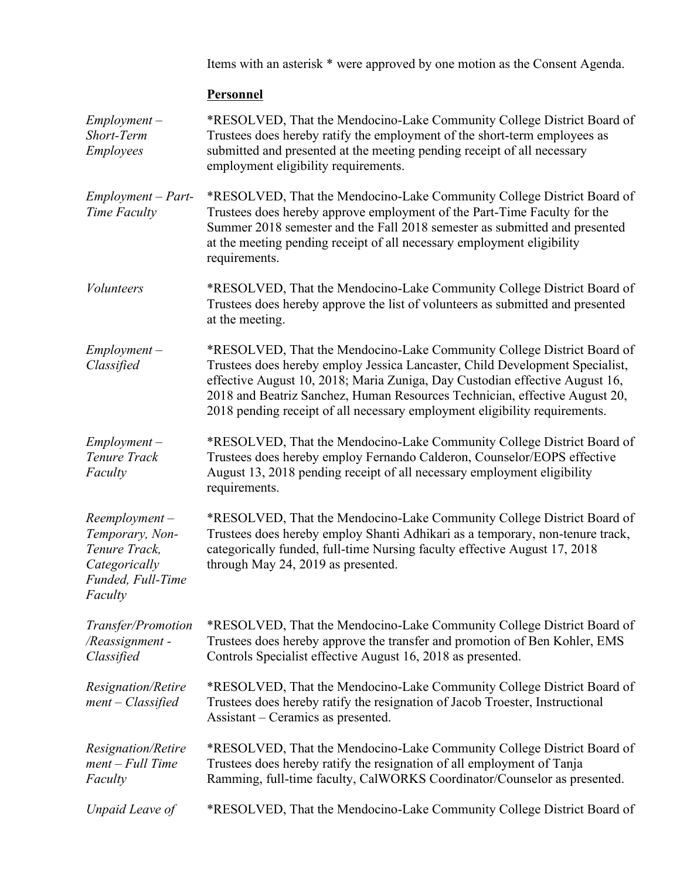Items with an asterisk \* were approved by one motion as the Consent Agenda.

# **Personnel**

| $Employment -$<br>Short-Term<br><b>Employees</b>                                                      | *RESOLVED, That the Mendocino-Lake Community College District Board of<br>Trustees does hereby ratify the employment of the short-term employees as<br>submitted and presented at the meeting pending receipt of all necessary<br>employment eligibility requirements.                                                                                                                            |  |
|-------------------------------------------------------------------------------------------------------|---------------------------------------------------------------------------------------------------------------------------------------------------------------------------------------------------------------------------------------------------------------------------------------------------------------------------------------------------------------------------------------------------|--|
| $Employment - Part-$<br>Time Faculty                                                                  | *RESOLVED, That the Mendocino-Lake Community College District Board of<br>Trustees does hereby approve employment of the Part-Time Faculty for the<br>Summer 2018 semester and the Fall 2018 semester as submitted and presented<br>at the meeting pending receipt of all necessary employment eligibility<br>requirements.                                                                       |  |
| <i>Volunteers</i>                                                                                     | *RESOLVED, That the Mendocino-Lake Community College District Board of<br>Trustees does hereby approve the list of volunteers as submitted and presented<br>at the meeting.                                                                                                                                                                                                                       |  |
| $Employment -$<br>Classified                                                                          | *RESOLVED, That the Mendocino-Lake Community College District Board of<br>Trustees does hereby employ Jessica Lancaster, Child Development Specialist,<br>effective August 10, 2018; Maria Zuniga, Day Custodian effective August 16,<br>2018 and Beatriz Sanchez, Human Resources Technician, effective August 20,<br>2018 pending receipt of all necessary employment eligibility requirements. |  |
| $Employment -$<br>Tenure Track<br>Faculty                                                             | *RESOLVED, That the Mendocino-Lake Community College District Board of<br>Trustees does hereby employ Fernando Calderon, Counselor/EOPS effective<br>August 13, 2018 pending receipt of all necessary employment eligibility<br>requirements.                                                                                                                                                     |  |
| $Reemployment -$<br>Temporary, Non-<br>Tenure Track,<br>Categorically<br>Funded, Full-Time<br>Faculty | *RESOLVED, That the Mendocino-Lake Community College District Board of<br>Trustees does hereby employ Shanti Adhikari as a temporary, non-tenure track,<br>categorically funded, full-time Nursing faculty effective August 17, 2018<br>through May 24, 2019 as presented.                                                                                                                        |  |
| Transfer/Promotion<br>/Reassignment-<br>Classified                                                    | *RESOLVED, That the Mendocino-Lake Community College District Board of<br>Trustees does hereby approve the transfer and promotion of Ben Kohler, EMS<br>Controls Specialist effective August 16, 2018 as presented.                                                                                                                                                                               |  |
| Resignation/Retire<br>$ment - Classified$                                                             | *RESOLVED, That the Mendocino-Lake Community College District Board of<br>Trustees does hereby ratify the resignation of Jacob Troester, Instructional<br>Assistant – Ceramics as presented.                                                                                                                                                                                                      |  |
| Resignation/Retire<br>$ment$ – Full Time<br>Faculty                                                   | *RESOLVED, That the Mendocino-Lake Community College District Board of<br>Trustees does hereby ratify the resignation of all employment of Tanja<br>Ramming, full-time faculty, CalWORKS Coordinator/Counselor as presented.                                                                                                                                                                      |  |
| Unpaid Leave of                                                                                       | *RESOLVED, That the Mendocino-Lake Community College District Board of                                                                                                                                                                                                                                                                                                                            |  |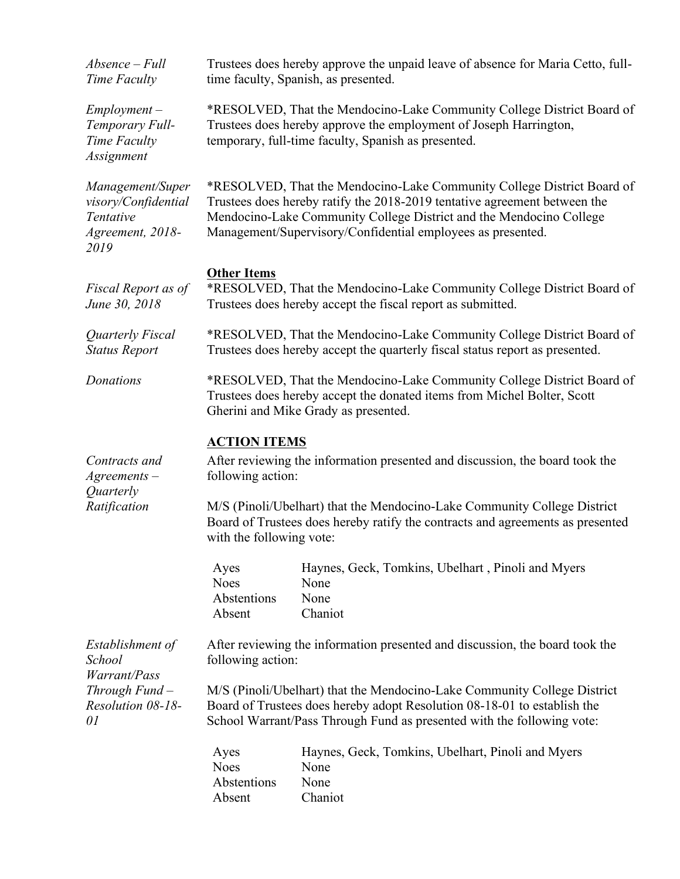| Absence – Full<br>Time Faculty                                                   | Trustees does hereby approve the unpaid leave of absence for Maria Cetto, full-<br>time faculty, Spanish, as presented.                                                                                                                                                                                            |  |  |  |  |
|----------------------------------------------------------------------------------|--------------------------------------------------------------------------------------------------------------------------------------------------------------------------------------------------------------------------------------------------------------------------------------------------------------------|--|--|--|--|
| $Employment -$<br>Temporary Full-<br>Time Faculty<br>Assignment                  | *RESOLVED, That the Mendocino-Lake Community College District Board of<br>Trustees does hereby approve the employment of Joseph Harrington,<br>temporary, full-time faculty, Spanish as presented.                                                                                                                 |  |  |  |  |
| Management/Super<br>visory/Confidential<br>Tentative<br>Agreement, 2018-<br>2019 | *RESOLVED, That the Mendocino-Lake Community College District Board of<br>Trustees does hereby ratify the 2018-2019 tentative agreement between the<br>Mendocino-Lake Community College District and the Mendocino College<br>Management/Supervisory/Confidential employees as presented.                          |  |  |  |  |
| Fiscal Report as of<br>June 30, 2018                                             | <b>Other Items</b><br>*RESOLVED, That the Mendocino-Lake Community College District Board of<br>Trustees does hereby accept the fiscal report as submitted.                                                                                                                                                        |  |  |  |  |
| Quarterly Fiscal<br><b>Status Report</b>                                         | *RESOLVED, That the Mendocino-Lake Community College District Board of<br>Trustees does hereby accept the quarterly fiscal status report as presented.                                                                                                                                                             |  |  |  |  |
| Donations                                                                        | *RESOLVED, That the Mendocino-Lake Community College District Board of<br>Trustees does hereby accept the donated items from Michel Bolter, Scott<br>Gherini and Mike Grady as presented.                                                                                                                          |  |  |  |  |
| Contracts and<br>$A$ greements $-$<br>Quarterly<br>Ratification                  | <b>ACTION ITEMS</b><br>After reviewing the information presented and discussion, the board took the<br>following action:<br>M/S (Pinoli/Ubelhart) that the Mendocino-Lake Community College District<br>Board of Trustees does hereby ratify the contracts and agreements as presented<br>with the following vote: |  |  |  |  |
|                                                                                  | Haynes, Geck, Tomkins, Ubelhart, Pinoli and Myers<br>Ayes<br><b>Noes</b><br>None<br>Abstentions<br>None<br>Absent<br>Chaniot                                                                                                                                                                                       |  |  |  |  |
| Establishment of<br>School                                                       | After reviewing the information presented and discussion, the board took the<br>following action:                                                                                                                                                                                                                  |  |  |  |  |
| Warrant/Pass<br>Through Fund $-$<br>Resolution 08-18-<br>01                      | M/S (Pinoli/Ubelhart) that the Mendocino-Lake Community College District<br>Board of Trustees does hereby adopt Resolution 08-18-01 to establish the<br>School Warrant/Pass Through Fund as presented with the following vote:                                                                                     |  |  |  |  |
|                                                                                  | Haynes, Geck, Tomkins, Ubelhart, Pinoli and Myers<br>Ayes<br>None<br><b>Noes</b><br>Abstentions<br>None<br>Chaniot<br>Absent                                                                                                                                                                                       |  |  |  |  |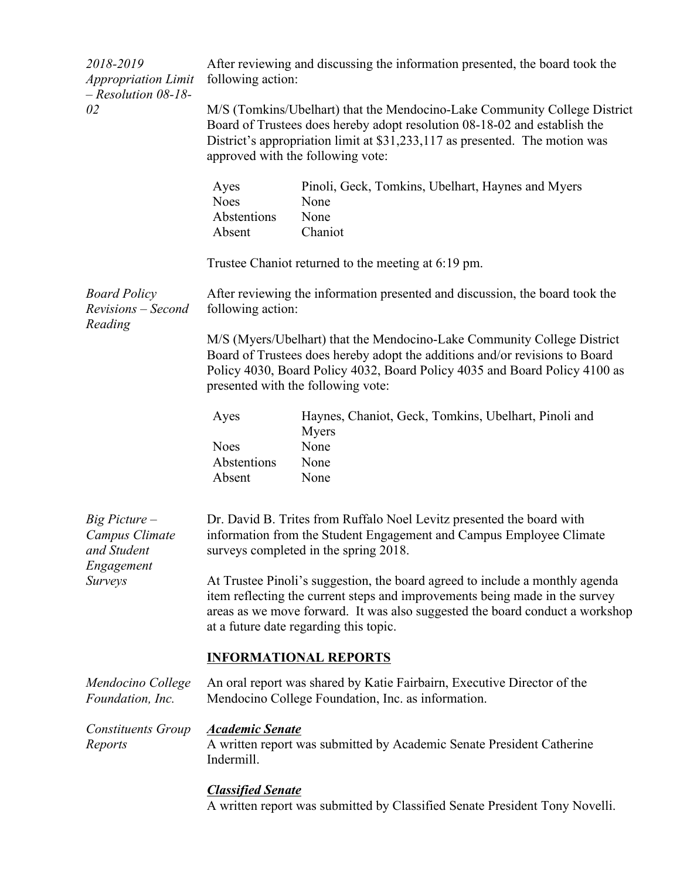| 2018-2019<br><b>Appropriation Limit</b><br>$-$ Resolution 08-18-<br>02             | After reviewing and discussing the information presented, the board took the<br>following action:                                                                                                                                                                                     |                                                                              |  |  |
|------------------------------------------------------------------------------------|---------------------------------------------------------------------------------------------------------------------------------------------------------------------------------------------------------------------------------------------------------------------------------------|------------------------------------------------------------------------------|--|--|
|                                                                                    | M/S (Tomkins/Ubelhart) that the Mendocino-Lake Community College District<br>Board of Trustees does hereby adopt resolution 08-18-02 and establish the<br>District's appropriation limit at \$31,233,117 as presented. The motion was<br>approved with the following vote:            |                                                                              |  |  |
|                                                                                    | Ayes<br><b>Noes</b><br>Abstentions<br>Absent                                                                                                                                                                                                                                          | Pinoli, Geck, Tomkins, Ubelhart, Haynes and Myers<br>None<br>None<br>Chaniot |  |  |
|                                                                                    | Trustee Chaniot returned to the meeting at 6:19 pm.                                                                                                                                                                                                                                   |                                                                              |  |  |
| <b>Board Policy</b><br>Revisions – Second<br>Reading                               | After reviewing the information presented and discussion, the board took the<br>following action:                                                                                                                                                                                     |                                                                              |  |  |
|                                                                                    | M/S (Myers/Ubelhart) that the Mendocino-Lake Community College District<br>Board of Trustees does hereby adopt the additions and/or revisions to Board<br>Policy 4030, Board Policy 4032, Board Policy 4035 and Board Policy 4100 as<br>presented with the following vote:            |                                                                              |  |  |
|                                                                                    | Ayes                                                                                                                                                                                                                                                                                  | Haynes, Chaniot, Geck, Tomkins, Ubelhart, Pinoli and<br><b>Myers</b>         |  |  |
|                                                                                    | <b>Noes</b>                                                                                                                                                                                                                                                                           | None                                                                         |  |  |
|                                                                                    | Abstentions<br>Absent                                                                                                                                                                                                                                                                 | None<br>None                                                                 |  |  |
| $Big$ Picture $-$<br>Campus Climate<br>and Student<br>Engagement<br><b>Surveys</b> | Dr. David B. Trites from Ruffalo Noel Levitz presented the board with<br>information from the Student Engagement and Campus Employee Climate<br>surveys completed in the spring 2018.                                                                                                 |                                                                              |  |  |
|                                                                                    | At Trustee Pinoli's suggestion, the board agreed to include a monthly agenda<br>item reflecting the current steps and improvements being made in the survey<br>areas as we move forward. It was also suggested the board conduct a workshop<br>at a future date regarding this topic. |                                                                              |  |  |
|                                                                                    | <b>INFORMATIONAL REPORTS</b>                                                                                                                                                                                                                                                          |                                                                              |  |  |
| Mendocino College<br>Foundation, Inc.                                              | An oral report was shared by Katie Fairbairn, Executive Director of the<br>Mendocino College Foundation, Inc. as information.                                                                                                                                                         |                                                                              |  |  |
| Constituents Group<br>Reports                                                      | <b>Academic Senate</b><br>A written report was submitted by Academic Senate President Catherine<br>Indermill.                                                                                                                                                                         |                                                                              |  |  |
|                                                                                    | <b>Classified Senate</b><br>A written report was submitted by Classified Senate President Tony Novelli.                                                                                                                                                                               |                                                                              |  |  |